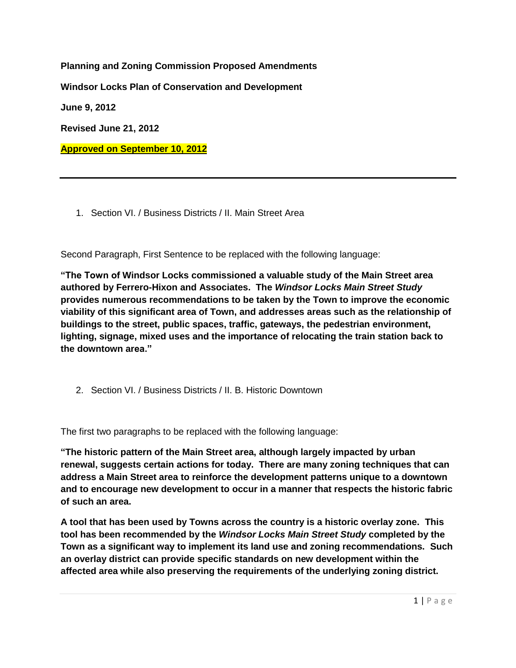**Planning and Zoning Commission Proposed Amendments Windsor Locks Plan of Conservation and Development June 9, 2012 Revised June 21, 2012 Approved on September 10, 2012**

1. Section VI. / Business Districts / II. Main Street Area

Second Paragraph, First Sentence to be replaced with the following language:

**"The Town of Windsor Locks commissioned a valuable study of the Main Street area authored by Ferrero-Hixon and Associates. The** *Windsor Locks Main Street Study* **provides numerous recommendations to be taken by the Town to improve the economic viability of this significant area of Town, and addresses areas such as the relationship of buildings to the street, public spaces, traffic, gateways, the pedestrian environment, lighting, signage, mixed uses and the importance of relocating the train station back to the downtown area."**

2. Section VI. / Business Districts / II. B. Historic Downtown

The first two paragraphs to be replaced with the following language:

**"The historic pattern of the Main Street area, although largely impacted by urban renewal, suggests certain actions for today. There are many zoning techniques that can address a Main Street area to reinforce the development patterns unique to a downtown and to encourage new development to occur in a manner that respects the historic fabric of such an area.**

**A tool that has been used by Towns across the country is a historic overlay zone. This tool has been recommended by the** *Windsor Locks Main Street Study* **completed by the Town as a significant way to implement its land use and zoning recommendations. Such an overlay district can provide specific standards on new development within the affected area while also preserving the requirements of the underlying zoning district.**